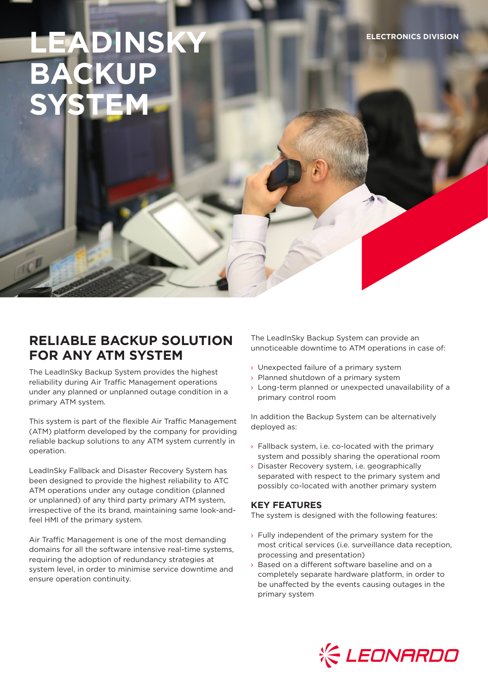# **DINSKY BACKUP SYSTEM**

## **RELIABLE BACKUP SOLUTION FOR ANY ATM SYSTEM**

The LeadInSky Backup System provides the highest reliability during Air Traffic Management operations under any planned or unplanned outage condition in a primary ATM system.

This system is part of the flexible Air Traffic Management (ATM) platform developed by the company for providing reliable backup solutions to any ATM system currently in operation.

LeadInSky Fallback and Disaster Recovery System has been designed to provide the highest reliability to ATC ATM operations under any outage condition (planned or unplanned) of any third party primary ATM system, irrespective of the its brand, maintaining same look-andfeel HMI of the primary system.

Air Traffic Management is one of the most demanding domains for all the software intensive real-time systems, requiring the adoption of redundancy strategies at system level, in order to minimise service downtime and ensure operation continuity.

The LeadInSky Backup System can provide an unnoticeable downtime to ATM operations in case of:

- › Unexpected failure of a primary system
- › Planned shutdown of a primary system
- › Long-term planned or unexpected unavailability of a primary control room

In addition the Backup System can be alternatively deployed as:

- › Fallback system, i.e. co-located with the primary system and possibly sharing the operational room
- › Disaster Recovery system, i.e. geographically separated with respect to the primary system and possibly co-located with another primary system

### **KEY FEATURES**

The system is designed with the following features:

- $\rightarrow$  Fully independent of the primary system for the most critical services (i.e. surveillance data reception, processing and presentation)
- › Based on a different software baseline and on a completely separate hardware platform, in order to be unaffected by the events causing outages in the primary system